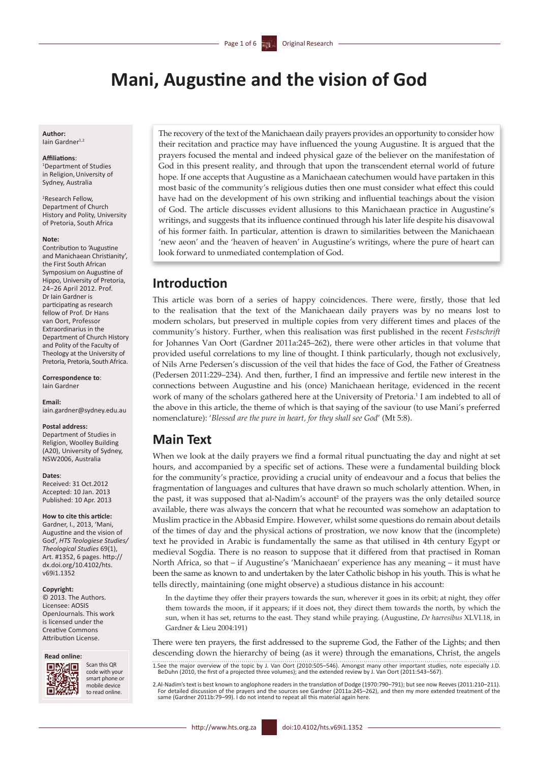# **Mani, Augustine and the vision of God**

**Author:** Iain Gardner<sup>1,2</sup>

### **Affiliations**:

1 Department of Studies in Religion, University of Sydney, Australia

2 Research Fellow, Department of Church History and Polity, University of Pretoria, South Africa

#### **Note:**

Contribution to 'Augustine and Manichaean Christianity', the First South African Symposium on Augustine of Hippo, University of Pretoria, 24−26 April 2012. Prof. Dr Iain Gardner is participating as research fellow of Prof. Dr Hans van Oort, Professor Extraordinarius in the Department of Church History and Polity of the Faculty of Theology at the University of Pretoria, Pretoria, South Africa.

**Correspondence to**: Iain Gardner

#### **Email:**

[iain.gardner@sydney.edu.au](mailto:iain.gardner@sydney.edu.au)

### **Postal address:**

Department of Studies in Religion, Woolley Building (A20), University of Sydney, NSW2006, Australia

### **Dates**:

Received: 31 Oct.2012 Accepted: 10 Jan. 2013 Published: 10 Apr. 2013

### **How to cite this article:**

Gardner, I., 2013, 'Mani, Augustine and the vision of God', *HTS Teologiese Studies/ Theological Studies* 69(1), Art. #1352, 6 pages. [http://](http://dx.doi.org/10.4102/hts.v69i1.1352) [dx.doi.org/10.4102/hts.](http://dx.doi.org/10.4102/hts.v69i1.1352) [v69i1.1352](http://dx.doi.org/10.4102/hts.v69i1.1352)

#### **Copyright:**

© 2013. The Authors. Licensee: AOSIS OpenJournals. This work is licensed under the Creative Commons Attribution License.

### **Read online:**



Scan this QR code with your smart phone or mobile device to read online.

The recovery of the text of the Manichaean daily prayers provides an opportunity to consider how their recitation and practice may have influenced the young Augustine. It is argued that the prayers focused the mental and indeed physical gaze of the believer on the manifestation of God in this present reality, and through that upon the transcendent eternal world of future hope. If one accepts that Augustine as a Manichaean catechumen would have partaken in this most basic of the community's religious duties then one must consider what effect this could have had on the development of his own striking and influential teachings about the vision of God. The article discusses evident allusions to this Manichaean practice in Augustine's writings, and suggests that its influence continued through his later life despite his disavowal of his former faith. In particular, attention is drawn to similarities between the Manichaean 'new aeon' and the 'heaven of heaven' in Augustine's writings, where the pure of heart can look forward to unmediated contemplation of God.

# **Introduction**

This article was born of a series of happy coincidences. There were, firstly, those that led to the realisation that the text of the Manichaean daily prayers was by no means lost to modern scholars, but preserved in multiple copies from very different times and places of the community's history. Further, when this realisation was first published in the recent *Festschrift*  for Johannes Van Oort (Gardner 2011a:245–262), there were other articles in that volume that provided useful correlations to my line of thought. I think particularly, though not exclusively, of Nils Arne Pedersen's discussion of the veil that hides the face of God, the Father of Greatness (Pedersen 2011:229–234). And then, further, I find an impressive and fertile new interest in the connections between Augustine and his (once) Manichaean heritage, evidenced in the recent work of many of the scholars gathered here at the University of Pretoria.<sup>1</sup> I am indebted to all of the above in this article, the theme of which is that saying of the saviour (to use Mani's preferred nomenclature): '*Blessed are the pure in heart, for they shall see God*' (Mt 5:8).

# **Main Text**

When we look at the daily prayers we find a formal ritual punctuating the day and night at set hours, and accompanied by a specific set of actions. These were a fundamental building block for the community's practice, providing a crucial unity of endeavour and a focus that belies the fragmentation of languages and cultures that have drawn so much scholarly attention. When, in the past, it was supposed that al-Nadim's account<sup>2</sup> of the prayers was the only detailed source available, there was always the concern that what he recounted was somehow an adaptation to Muslim practice in the Abbasid Empire. However, whilst some questions do remain about details of the times of day and the physical actions of prostration, we now know that the (incomplete) text he provided in Arabic is fundamentally the same as that utilised in 4th century Egypt or medieval Sogdia. There is no reason to suppose that it differed from that practised in Roman North Africa, so that – if Augustine's 'Manichaean' experience has any meaning – it must have been the same as known to and undertaken by the later Catholic bishop in his youth. This is what he tells directly, maintaining (one might observe) a studious distance in his account:

In the daytime they offer their prayers towards the sun, wherever it goes in its orbit; at night, they offer them towards the moon, if it appears; if it does not, they direct them towards the north, by which the sun, when it has set, returns to the east. They stand while praying. (Augustine, *De haeresibus* XLVI.18, in Gardner & Lieu 2004:191)

There were ten prayers, the first addressed to the supreme God, the Father of the Lights; and then descending down the hierarchy of being (as it were) through the emanations, Christ, the angels

1.See the major overview of the topic by J. Van Oort (2010:505–546). Amongst many other important studies, note especially J.D.<br>BeDuhn (2010, the first of a projected three volumes); and the extended review by J. Van Oort

2. Al-Nadim's text is best known to anglophone readers in the translation of Dodge (1970:790–791); but see now Reeves (2011:210–211).<br>For detailed discussion of the prayers and the sources see Gardner (2011a:245–262), and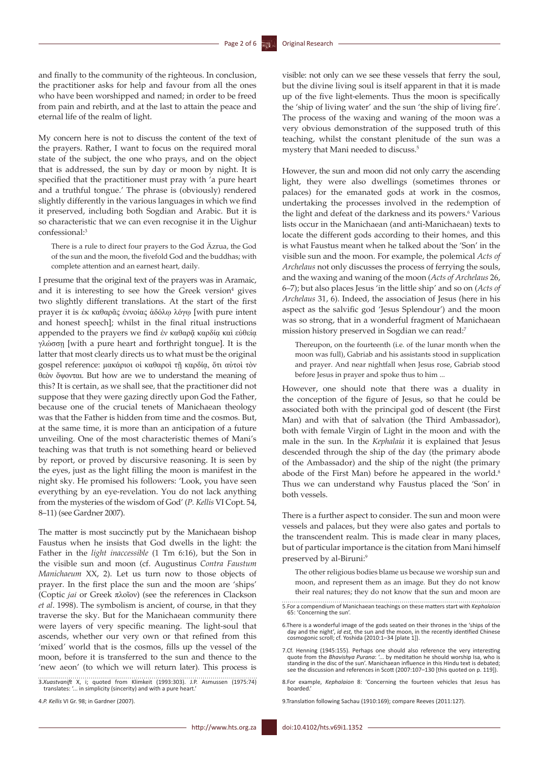and finally to the community of the righteous. In conclusion, the practitioner asks for help and favour from all the ones who have been worshipped and named; in order to be freed from pain and rebirth, and at the last to attain the peace and eternal life of the realm of light.

My concern here is not to discuss the content of the text of the prayers. Rather, I want to focus on the required moral state of the subject, the one who prays, and on the object that is addressed, the sun by day or moon by night. It is specified that the practitioner must pray with 'a pure heart and a truthful tongue.' The phrase is (obviously) rendered slightly differently in the various languages in which we find it preserved, including both Sogdian and Arabic. But it is so characteristic that we can even recognise it in the Uighur confessional:3

There is a rule to direct four prayers to the God Äzrua, the God of the sun and the moon, the fivefold God and the buddhas; with complete attention and an earnest heart, daily.

I presume that the original text of the prayers was in Aramaic, and it is interesting to see how the Greek version $4$  gives two slightly different translations. At the start of the first prayer it is ἐκ καθαρᾶς ἐννοίας ἀδόλῳ λόγῳ [with pure intent and honest speech]; whilst in the final ritual instructions appended to the prayers we find ἐν καθαρῷ καρδία καὶ εὐθεία γλώσσῃ [with a pure heart and forthright tongue]. It is the latter that most clearly directs us to what must be the original gospel reference: μακάριοι οἱ καθαροὶ τῇ καρδίᾳ, ὅτι αὐτοὶ τὸν θεὸν ὄψονται. But how are we to understand the meaning of this? It is certain, as we shall see, that the practitioner did not suppose that they were gazing directly upon God the Father, because one of the crucial tenets of Manichaean theology was that the Father is hidden from time and the cosmos. But, at the same time, it is more than an anticipation of a future unveiling. One of the most characteristic themes of Mani's teaching was that truth is not something heard or believed by report, or proved by discursive reasoning. It is seen by the eyes, just as the light filling the moon is manifest in the night sky. He promised his followers: 'Look, you have seen everything by an eye-revelation. You do not lack anything from the mysteries of the wisdom of God' (*P. Kellis* VI Copt. 54, 8–11) (see Gardner 2007).

The matter is most succinctly put by the Manichaean bishop Faustus when he insists that God dwells in the light: the Father in the *light inaccessible* (1 Tm 6:16), but the Son in the visible sun and moon (cf. Augustinus *Contra Faustum Manichaeum* XX, 2). Let us turn now to those objects of prayer. In the first place the sun and the moon are 'ships' (Coptic *jai* or Greek πλοῖον) (see the references in Clackson *et al*. 1998). The symbolism is ancient, of course, in that they traverse the sky. But for the Manichaean community there were layers of very specific meaning. The light-soul that ascends, whether our very own or that refined from this 'mixed' world that is the cosmos, fills up the vessel of the moon, before it is transferred to the sun and thence to the 'new aeon' (to which we will return later). This process is

3.*Xuastvanift* X, i; quoted from Klimkeit (1993:303). J.P. Asmussen (1975:74) translates: '... in simplicity (sincerity) and with a pure heart.'

4.*P. Kellis* VI Gr. 98; in Gardner (2007).

visible: not only can we see these vessels that ferry the soul, but the divine living soul is itself apparent in that it is made up of the five light-elements. Thus the moon is specifically the 'ship of living water' and the sun 'the ship of living fire'. The process of the waxing and waning of the moon was a very obvious demonstration of the supposed truth of this teaching, whilst the constant plenitude of the sun was a mystery that Mani needed to discuss.5

However, the sun and moon did not only carry the ascending light, they were also dwellings (sometimes thrones or palaces) for the emanated gods at work in the cosmos, undertaking the processes involved in the redemption of the light and defeat of the darkness and its powers.<sup>6</sup> Various lists occur in the Manichaean (and anti-Manichaean) texts to locate the different gods according to their homes, and this is what Faustus meant when he talked about the 'Son' in the visible sun and the moon. For example, the polemical *Acts of Archelaus* not only discusses the process of ferrying the souls, and the waxing and waning of the moon (*Acts of Archelaus* 26, 6–7); but also places Jesus 'in the little ship' and so on (*Acts of Archelaus* 31, 6). Indeed, the association of Jesus (here in his aspect as the salvific god 'Jesus Splendour') and the moon was so strong, that in a wonderful fragment of Manichaean mission history preserved in Sogdian we can read:7

Thereupon, on the fourteenth (i.e. of the lunar month when the moon was full), Gabriab and his assistants stood in supplication and prayer. And near nightfall when Jesus rose, Gabriab stood before Jesus in prayer and spoke thus to him ...

However, one should note that there was a duality in the conception of the figure of Jesus, so that he could be associated both with the principal god of descent (the First Man) and with that of salvation (the Third Ambassador), both with female Virgin of Light in the moon and with the male in the sun. In the *Kephalaia* it is explained that Jesus descended through the ship of the day (the primary abode of the Ambassador) and the ship of the night (the primary abode of the First Man) before he appeared in the world.<sup>8</sup> Thus we can understand why Faustus placed the 'Son' in both vessels.

There is a further aspect to consider. The sun and moon were vessels and palaces, but they were also gates and portals to the transcendent realm. This is made clear in many places, but of particular importance is the citation from Mani himself preserved by al-Biruni:9

The other religious bodies blame us because we worship sun and moon, and represent them as an image. But they do not know their real natures; they do not know that the sun and moon are

5.For a compendium of Manichaean teachings on these matters start with *Kephalaion* 65: 'Concerning the sun'.

6.There is a wonderful image of the gods seated on their thrones in the 'ships of the day and the night', *id est,* the sun and the moon, in the recently identified Chinese cosmogonic scroll; cf. Yoshida (2010:1–34 [plate 1]).

- 7.Cf. Henning (1945:155). Perhaps one should also reference the very interesting quote from the *Bhavishya Purana: '...* by meditation he should worship Isa, who is<br>standing in the disc of the sun'. Manichaean influence in this Hindu text is debated;<br>see the discussion and references in Scott (2007:107
- 8.For example, *Kephalaion* 8: 'Concerning the fourteen vehicles that Jesus has boarded.'

9.Translation following Sachau (1910:169); compare Reeves (2011:127).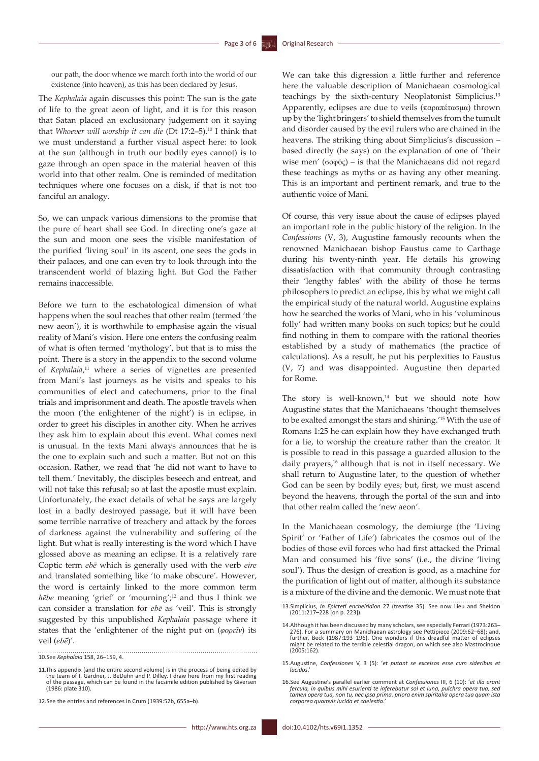our path, the door whence we march forth into the world of our existence (into heaven), as this has been declared by Jesus.

The *Kephalaia* again discusses this point: The sun is the gate of life to the great aeon of light, and it is for this reason that Satan placed an exclusionary judgement on it saying that *Whoever will worship it can die* (Dt 17:2–5).10 I think that we must understand a further visual aspect here: to look at the sun (although in truth our bodily eyes cannot) is to gaze through an open space in the material heaven of this world into that other realm. One is reminded of meditation techniques where one focuses on a disk, if that is not too fanciful an analogy.

So, we can unpack various dimensions to the promise that the pure of heart shall see God. In directing one's gaze at the sun and moon one sees the visible manifestation of the purified 'living soul' in its ascent, one sees the gods in their palaces, and one can even try to look through into the transcendent world of blazing light. But God the Father remains inaccessible.

Before we turn to the eschatological dimension of what happens when the soul reaches that other realm (termed 'the new aeon'), it is worthwhile to emphasise again the visual reality of Mani's vision. Here one enters the confusing realm of what is often termed 'mythology', but that is to miss the point. There is a story in the appendix to the second volume of *Kephalaia*, 11 where a series of vignettes are presented from Mani's last journeys as he visits and speaks to his communities of elect and catechumens, prior to the final trials and imprisonment and death. The apostle travels when the moon ('the enlightener of the night') is in eclipse, in order to greet his disciples in another city. When he arrives they ask him to explain about this event. What comes next is unusual. In the texts Mani always announces that he is the one to explain such and such a matter. But not on this occasion. Rather, we read that 'he did not want to have to tell them.' Inevitably, the disciples beseech and entreat, and will not take this refusal; so at last the apostle must explain. Unfortunately, the exact details of what he says are largely lost in a badly destroyed passage, but it will have been some terrible narrative of treachery and attack by the forces of darkness against the vulnerability and suffering of the light. But what is really interesting is the word which I have glossed above as meaning an eclipse. It is a relatively rare Coptic term *ebē* which is generally used with the verb *eire* and translated something like 'to make obscure'. However, the word is certainly linked to the more common term *hēbe* meaning 'grief' or 'mourning';<sup>12</sup> and thus I think we can consider a translation for *ebē* as 'veil'. This is strongly suggested by this unpublished *Kephalaia* passage where it states that the 'enlightener of the night put on (*φορεῖν*) its veil (*ebē*)'.

10.See *Kephalaia* 158, 26–159, 4.

11.This appendix (and the entire second volume) is in the process of being edited by the team of I. Gardner, J. BeDuhn and P. Dilley. I draw here from my first reading of the passage, which can be found in the facsimile edition published by Giversen (1986: plate 310).

12.See the entries and references in Crum (1939:52b, 655a–b).

We can take this digression a little further and reference here the valuable description of Manichaean cosmological teachings by the sixth-century Neoplatonist Simplicius.13 Apparently, eclipses are due to veils (παραπέτασμα) thrown up by the 'light bringers' to shield themselves from the tumult and disorder caused by the evil rulers who are chained in the heavens. The striking thing about Simplicius's discussion – based directly (he says) on the explanation of one of 'their wise men' (σοφός) – is that the Manichaeans did not regard these teachings as myths or as having any other meaning. This is an important and pertinent remark, and true to the authentic voice of Mani.

Of course, this very issue about the cause of eclipses played an important role in the public history of the religion. In the *Confessions* (V, 3), Augustine famously recounts when the renowned Manichaean bishop Faustus came to Carthage during his twenty-ninth year. He details his growing dissatisfaction with that community through contrasting their 'lengthy fables' with the ability of those he terms philosophers to predict an eclipse, this by what we might call the empirical study of the natural world. Augustine explains how he searched the works of Mani, who in his 'voluminous folly' had written many books on such topics; but he could find nothing in them to compare with the rational theories established by a study of mathematics (the practice of calculations). As a result, he put his perplexities to Faustus (V, 7) and was disappointed. Augustine then departed for Rome.

The story is well-known, $14$  but we should note how Augustine states that the Manichaeans 'thought themselves to be exalted amongst the stars and shining.'15 With the use of Romans 1:25 he can explain how they have exchanged truth for a lie, to worship the creature rather than the creator. It is possible to read in this passage a guarded allusion to the daily prayers,<sup>16</sup> although that is not in itself necessary. We shall return to Augustine later, to the question of whether God can be seen by bodily eyes; but, first, we must ascend beyond the heavens, through the portal of the sun and into that other realm called the 'new aeon'.

In the Manichaean cosmology, the demiurge (the 'Living Spirit' or 'Father of Life') fabricates the cosmos out of the bodies of those evil forces who had first attacked the Primal Man and consumed his 'five sons' (i.e., the divine 'living soul'). Thus the design of creation is good, as a machine for the purification of light out of matter, although its substance is a mixture of the divine and the demonic. We must note that

<sup>13.</sup>Simplicius, *In Epicteti encheiridion* 27 (treatise 35). See now Lieu and Sheldon (2011:217–228 [on p. 223]).

<sup>14.</sup>Although it has been discussed by many scholars, see especially Ferrari (1973:263– 276). For a summary on Manichaean astrology see Pettipiece (2009:62–68); and, further, Beck (1987:193–196). One wonders if this dreadful matter of eclipses might be related to the terrible celestial dragon, on which see also Mastrocinque (2005:162).

<sup>15.</sup>Augustine, *Confessiones* V, 3 (5): '*et putant se excelsos esse cum sideribus et lucidos*.'

<sup>16.</sup>See Augustine's parallel earlier comment at *Confessiones* III, 6 (10): '*et illa erant fercula, in quibus mihi esurienti te inferebatur sol et luna, pulchra opera tua, sed tamen opera tua, non tu, nec ipsa prima. priora enim spiritalia opera tua quam ista corporea quamvis lucida et caelestia.'*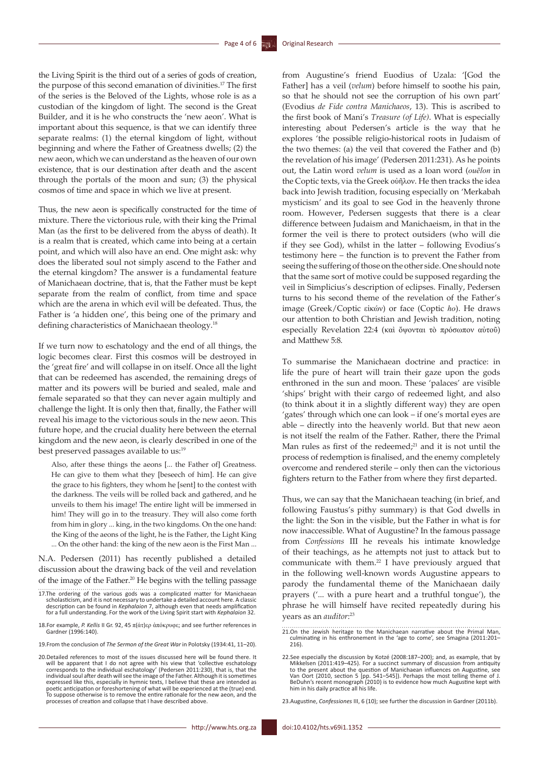the Living Spirit is the third out of a series of gods of creation, the purpose of this second emanation of divinities.17 The first of the series is the Beloved of the Lights, whose role is as a custodian of the kingdom of light. The second is the Great Builder, and it is he who constructs the 'new aeon'. What is important about this sequence, is that we can identify three separate realms: (1) the eternal kingdom of light, without beginning and where the Father of Greatness dwells; (2) the new aeon, which we can understand as the heaven of our own existence, that is our destination after death and the ascent through the portals of the moon and sun; (3) the physical cosmos of time and space in which we live at present.

Thus, the new aeon is specifically constructed for the time of mixture. There the victorious rule, with their king the Primal Man (as the first to be delivered from the abyss of death). It is a realm that is created, which came into being at a certain point, and which will also have an end. One might ask: why does the liberated soul not simply ascend to the Father and the eternal kingdom? The answer is a fundamental feature of Manichaean doctrine, that is, that the Father must be kept separate from the realm of conflict, from time and space which are the arena in which evil will be defeated. Thus, the Father is 'a hidden one', this being one of the primary and defining characteristics of Manichaean theology.<sup>18</sup>

If we turn now to eschatology and the end of all things, the logic becomes clear. First this cosmos will be destroyed in the 'great fire' and will collapse in on itself. Once all the light that can be redeemed has ascended, the remaining dregs of matter and its powers will be buried and sealed, male and female separated so that they can never again multiply and challenge the light. It is only then that, finally, the Father will reveal his image to the victorious souls in the new aeon. This future hope, and the crucial duality here between the eternal kingdom and the new aeon, is clearly described in one of the best preserved passages available to us:<sup>19</sup>

Also, after these things the aeons [... the Father of] Greatness. He can give to them what they [beseech of him]. He can give the grace to his fighters, they whom he [sent] to the contest with the darkness. The veils will be rolled back and gathered, and he unveils to them his image! The entire light will be immersed in him! They will go in to the treasury. They will also come forth from him in glory ... king, in the two kingdoms. On the one hand: the King of the aeons of the light, he is the Father, the Light King ... On the other hand: the king of the new aeon is the First Man ...

N.A. Pedersen (2011) has recently published a detailed discussion about the drawing back of the veil and revelation of the image of the Father.20 He begins with the telling passage

17.The ordering of the various gods was a complicated matter for Manichaean scholasticism, and it is not necessary to undertake a detailed account here. A classic description can be found in *Kephalaion* 7, although even that needs amplification for a full understanding. For the work of the Living Spirit start with *Kephalaion* 32.

- 18.For example, *P. Kellis* II Gr. 92, 45 π(άτ)ερ ἀπόκρυφε; and see further references in Gardner (1996:140).
- 19.From the conclusion of *The Sermon of the Great War* in Polotsky (1934:41, 11–20).

20.Detailed references to most of the issues discussed here will be found there. It will be apparent that I do not agree with his view that 'collective eschatology corresponds to the individual eschatology' (Pedersen 2011:230), that is, that the individual soul after death will see the image of the Father. Although it is sometimes<br>expressed like this, especially in hymnic texts, I believe that these are intended as<br>poetic anticipation or foreshortening of what wil processes of creation and collapse that I have described above.

from Augustine's friend Euodius of Uzala: '[God the Father] has a veil (*velum*) before himself to soothe his pain, so that he should not see the corruption of his own part' (Evodius *de Fide contra Manichaeos*, 13). This is ascribed to the first book of Mani's *Treasure (of Life)*. What is especially interesting about Pedersen's article is the way that he explores 'the possible religio-historical roots in Judaism of the two themes: (a) the veil that covered the Father and (b) the revelation of his image' (Pedersen 2011:231). As he points out, the Latin word *velum* is used as a loan word (*ouēlon* in the Coptic texts, via the Greek οὐῆλον. He then tracks the idea back into Jewish tradition, focusing especially on 'Merkabah mysticism' and its goal to see God in the heavenly throne room. However, Pedersen suggests that there is a clear difference between Judaism and Manichaeism, in that in the former the veil is there to protect outsiders (who will die if they see God), whilst in the latter – following Evodius's testimony here – the function is to prevent the Father from seeing the suffering of those on the other side. One should note that the same sort of motive could be supposed regarding the veil in Simplicius's description of eclipses. Finally, Pedersen turns to his second theme of the revelation of the Father's image (Greek/Coptic εἰκών) or face (Coptic *ho*). He draws our attention to both Christian and Jewish tradition, noting especially Revelation 22:4 (καὶ ὄψονται τὸ πρόσωπον αὐτοῦ) and Matthew 5:8.

To summarise the Manichaean doctrine and practice: in life the pure of heart will train their gaze upon the gods enthroned in the sun and moon. These 'palaces' are visible 'ships' bright with their cargo of redeemed light, and also (to think about it in a slightly different way) they are open 'gates' through which one can look – if one's mortal eyes are able – directly into the heavenly world. But that new aeon is not itself the realm of the Father. Rather, there the Primal Man rules as first of the redeemed; $21$  and it is not until the process of redemption is finalised, and the enemy completely overcome and rendered sterile – only then can the victorious fighters return to the Father from where they first departed.

Thus, we can say that the Manichaean teaching (in brief, and following Faustus's pithy summary) is that God dwells in the light: the Son in the visible, but the Father in what is for now inaccessible. What of Augustine? In the famous passage from *Confessions* III he reveals his intimate knowledge of their teachings, as he attempts not just to attack but to communicate with them.<sup>22</sup> I have previously argued that in the following well-known words Augustine appears to parody the fundamental theme of the Manichaean daily prayers ('... with a pure heart and a truthful tongue'), the phrase he will himself have recited repeatedly during his years as an *auditor*: 23

23.Augustine, *Confessiones* III, 6 (10); see further the discussion in Gardner (2011b).

<sup>21.</sup>On the Jewish heritage to the Manichaean narrative about the Primal Man, culminating in his enthronement in the 'age to come', see Smagina (2011:201–  $216$ ).

<sup>22.</sup>See especially the discussion by Kotzé (2008:187–200); and, as example, that by<br>Mikkelsen (2011:419–425). For a succinct summary of discussion from antiquity<br>to the present about the question of Manichaean influences on Van Oort (2010, section 5 [pp. 541–545]). Perhaps the most telling theme of J. BeDuhn's recent monograph (2010) is to evidence how much Augustine kept with him in his daily practice all his life.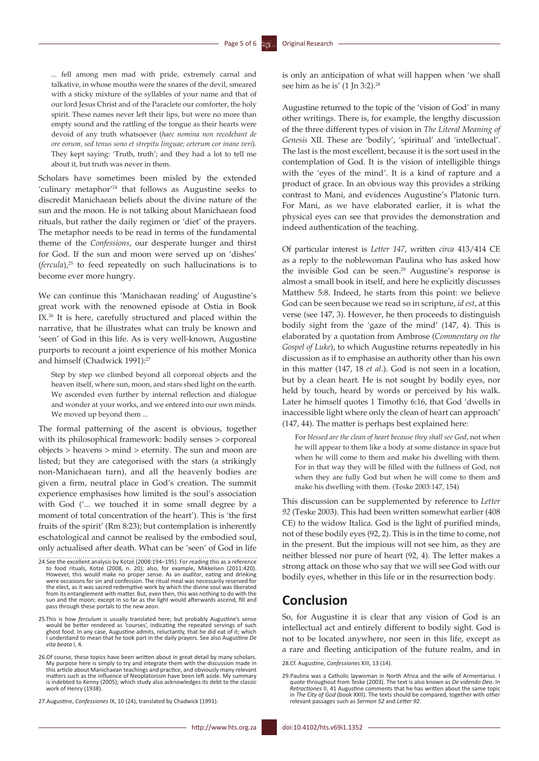... fell among men mad with pride, extremely carnal and talkative, in whose mouths were the snares of the devil, smeared with a sticky mixture of the syllables of your name and that of our lord Jesus Christ and of the Paraclete our comforter, the holy spirit. These names never left their lips, but were no more than empty sound and the rattling of the tongue as their hearts were devoid of any truth whatsoever (*haec nomina non recedebant de ore eorum, sed tenus sono et strepitu linguae; ceterum cor inane veri*). They kept saying: 'Truth, truth'; and they had a lot to tell me about it, but truth was never in them.

Scholars have sometimes been misled by the extended 'culinary metaphor'24 that follows as Augustine seeks to discredit Manichaean beliefs about the divine nature of the sun and the moon. He is not talking about Manichaean food rituals, but rather the daily regimen or 'diet' of the prayers. The metaphor needs to be read in terms of the fundamental theme of the *Confessions*, our desperate hunger and thirst for God. If the sun and moon were served up on 'dishes' (*fercula*),<sup>25</sup> to feed repeatedly on such hallucinations is to become ever more hungry.

We can continue this 'Manichaean reading' of Augustine's great work with the renowned episode at Ostia in Book IX.<sup>26</sup> It is here, carefully structured and placed within the narrative, that he illustrates what can truly be known and 'seen' of God in this life. As is very well-known, Augustine purports to recount a joint experience of his mother Monica and himself (Chadwick 1991):<sup>27</sup>

Step by step we climbed beyond all corporeal objects and the heaven itself, where sun, moon, and stars shed light on the earth. We ascended even further by internal reflection and dialogue and wonder at your works, and we entered into our own minds. We moved up beyond them ...

The formal patterning of the ascent is obvious, together with its philosophical framework: bodily senses > corporeal objects > heavens > mind > eternity. The sun and moon are listed; but they are categorised with the stars (a strikingly non-Manichaean turn), and all the heavenly bodies are given a firm, neutral place in God's creation. The summit experience emphasises how limited is the soul's association with God ('... we touched it in some small degree by a moment of total concentration of the heart'). This is 'the first fruits of the spirit' (Rm 8:23); but contemplation is inherently eschatological and cannot be realised by the embodied soul, only actualised after death. What can be 'seen' of God in life

27.Augustine, *Confessiones* IX, 10 (24), translated by Chadwick (1991).

is only an anticipation of what will happen when 'we shall see him as he is' (1 Jn 3:2).<sup>28</sup>

Augustine returned to the topic of the 'vision of God' in many other writings. There is, for example, the lengthy discussion of the three different types of vision in *The Literal Meaning of Genesis* XII. These are 'bodily', 'spiritual' and 'intellectual'. The last is the most excellent, because it is the sort used in the contemplation of God. It is the vision of intelligible things with the 'eyes of the mind'. It is a kind of rapture and a product of grace. In an obvious way this provides a striking contrast to Mani, and evidences Augustine's Platonic turn. For Mani, as we have elaborated earlier, it is what the physical eyes can see that provides the demonstration and indeed authentication of the teaching.

Of particular interest is *Letter 147*, written *circa* 413/414 CE as a reply to the noblewoman Paulina who has asked how the invisible God can be seen.<sup>29</sup> Augustine's response is almost a small book in itself, and here he explicitly discusses Matthew 5:8. Indeed, he starts from this point: we believe God can be seen because we read so in scripture, *id est*, at this verse (see 147, 3). However, he then proceeds to distinguish bodily sight from the 'gaze of the mind' (147, 4). This is elaborated by a quotation from Ambrose (*Commentary on the Gospel of Luke*), to which Augustine returns repeatedly in his discussion as if to emphasise an authority other than his own in this matter (147, 18 *et al*.). God is not seen in a location, but by a clean heart. He is not sought by bodily eyes, nor held by touch, heard by words or perceived by his walk. Later he himself quotes 1 Timothy 6:16, that God 'dwells in inaccessible light where only the clean of heart can approach' (147, 44). The matter is perhaps best explained here:

For *blessed are the clean of heart because they shall see God*, not when he will appear to them like a body at some distance in space but when he will come to them and make his dwelling with them. For in that way they will be filled with the fullness of God, not when they are fully God but when he will come to them and make his dwelling with them. (Teske 2003:147, 154)

This discussion can be supplemented by reference to *Letter 92* (Teske 2003). This had been written somewhat earlier (408 CE) to the widow Italica. God is the light of purified minds, not of these bodily eyes (92, 2). This is in the time to come, not in the present. But the impious will not see him, as they are neither blessed nor pure of heart (92, 4). The letter makes a strong attack on those who say that we will see God with our bodily eyes, whether in this life or in the resurrection body.

# **Conclusion**

So, for Augustine it is clear that any vision of God is an intellectual act and entirely different to bodily sight. God is not to be located anywhere, nor seen in this life, except as a rare and fleeting anticipation of the future realm, and in 

28.Cf. Augustine, *Confessiones* XIII, 13 (14).

<sup>24.</sup>See the excellent analysis by Kotzé (2008:194–195). For reading this as a reference<br>to food rituals, Kotzé (2008, n. 20); also, for example, Mikkelsen (2011:420).<br>However, this would make no proper sense. As an *auditor* the elect, as it was sacred redemptive work by which the divine soul was liberated from its entanglement with matter. But, even then, this was nothing to do with the sun and the moon; except in so far as the light would afterwards ascend, fill and pass through these portals to the new aeon.

<sup>25.</sup>This is how *ferculum* is usually translated here; but probably Augustine's sense<br>would be better rendered as 'courses', indicating the repeated servings of such<br>ghost food. In any case, Augustine admits, reluctantly, t I understand to mean that he took part in the daily prayers. See also Augustine *De vita beata* I, 4.

<sup>26.</sup>Of course, these topics have been written about in great detail by many scholars. My purpose here is simply to try and integrate them with the discussion made in this article about Manichaean teachings and practice, and obviously many relevant matters such as the influence of Neoplatonism have been left aside. My summary is indebted to Kenny (2005); which study also acknowledges its debt to the classic work of Henry (1938).

<sup>1.29.</sup> Paulina was a Catholic laywoman in North Africa and the wife of Armentarius<br>quote throughout from Teske (2003). The text is also known as De videndo Deo. In<br>Retractiones II, 41 Augustine comments that he has written in *The City of God* (book XXII). The texts should be compared, together with other relevant passages such as *Sermon 52* and *Letter 92*.